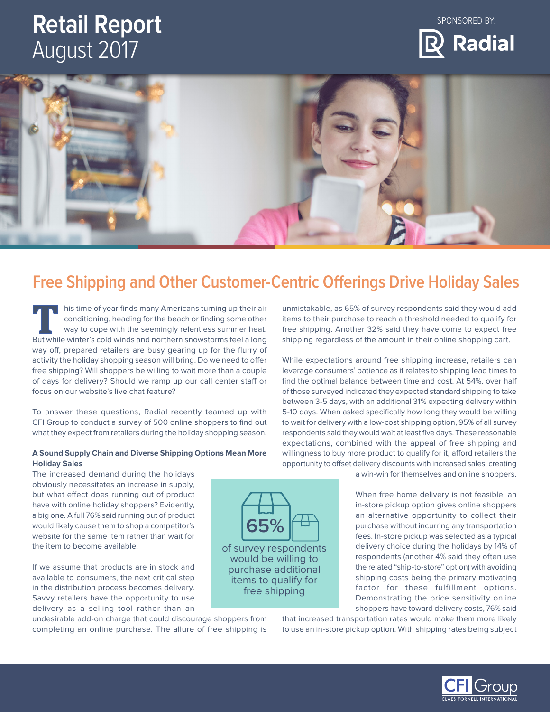# **Retail Report**  August 2017







# **Free Shipping and Other Customer-Centric Oferings Drive Holiday Sales**

**65%**

his time of year finds many Americans turning up their air conditioning, heading for the beach or finding some other way to cope with the seemingly relentless summer heat. But while winter's cold winds and northern snowstorms feel a long way off, prepared retailers are busy gearing up for the flurry of activity the holiday shopping season will bring. Do we need to offer free shipping? Will shoppers be willing to wait more than a couple of days for delivery? Should we ramp up our call center staff or focus on our website's live chat feature?

To answer these questions, Radial recently teamed up with CFI Group to conduct a survey of 500 online shoppers to find out what they expect from retailers during the holiday shopping season.

### **Holiday Sales A Sound Supply Chain and Diverse Shipping Options Mean More**

The increased demand during the holidays obviously necessitates an increase in supply, but what efect does running out of product have with online holiday shoppers? Evidently, interest online shoppers in-store pickup option gives online shoppers a big one. A full 76% said running out of product **and alternative opportunity to collect their** would likely cause them to shop a competitor's website for the same item rather than wait for  $\begin{bmatrix} 1 & 1 \end{bmatrix}$  fees. In-store pickup was selected as a typical

If we assume that products are in stock and<br>available to consumers, the next critical step in the distribution process becomes delivery.<br>Savvy retailers have the opportunity to use the shipping costs being the primary moti delivery as a selling tool rather than an shoppers have toward delivery costs, 76% said

completing an online purchase. The allure of free shipping is to use an in-store pickup option. With shipping rates being subject

unmistakable, as 65% of survey respondents said they would add items to their purchase to reach a threshold needed to qualify for free shipping. Another 32% said they have come to expect free shipping regardless of the amount in their online shopping cart.

While expectations around free shipping increase, retailers can leverage consumers' patience as it relates to shipping lead times to find the optimal balance between time and cost. At 54%, over half of those surveyed indicated they expected standard shipping to take between 3-5 days, with an additional 31% expecting delivery within 5-10 days. When asked specifcally how long they would be willing to wait for delivery with a low-cost shipping option, 95% of all survey respondents said they would wait at least five days. These reasonable expectations, combined with the appeal of free shipping and willingness to buy more product to qualify for it, afford retailers the opportunity to ofset delivery discounts with increased sales, creating

a win-win for themselves and online shoppers.

purchase without incurring any transportation When free home delivery is not feasible, an the item to become available. of survey respondents delivery choice during the holidays by 14% of survey respondents delivery choice during the holidays by 14% of would be willing to respondents (another 4% said they often use<br>the related "ship-to-store" option) with avoiding

undesirable add-on charge that could discourage shoppers from that increased transportation rates would make them more likely